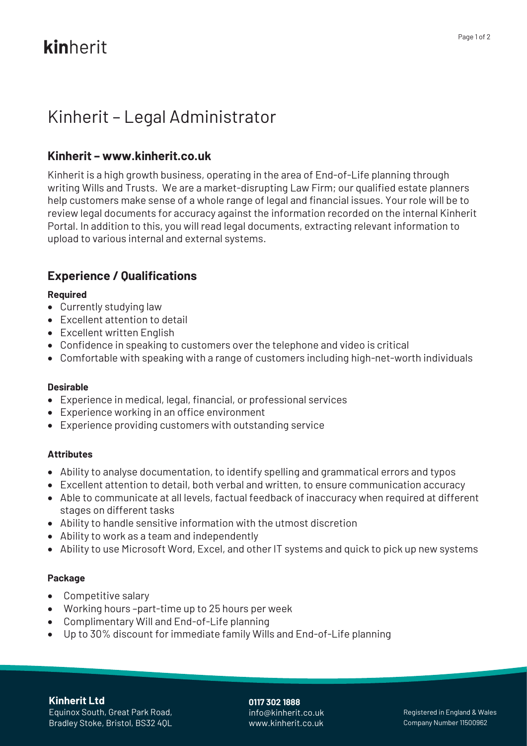# kinherit

# Kinherit – Legal Administrator

# **Kinherit – [www.kinherit.co.uk](http://www.kinherit.co.uk/)**

Kinherit is a high growth business, operating in the area of End-of-Life planning through writing Wills and Trusts. We are a market-disrupting Law Firm; our qualified estate planners help customers make sense of a whole range of legal and financial issues. Your role will be to review legal documents for accuracy against the information recorded on the internal Kinherit Portal. In addition to this, you will read legal documents, extracting relevant information to upload to various internal and external systems.

# **Experience / Qualifications**

## **Required**

- Currently studying law
- Excellent attention to detail
- Excellent written English
- Confidence in speaking to customers over the telephone and video is critical
- Comfortable with speaking with a range of customers including high-net-worth individuals

### **Desirable**

- Experience in medical, legal, financial, or professional services
- Experience working in an office environment
- Experience providing customers with outstanding service

### **Attributes**

- Ability to analyse documentation, to identify spelling and grammatical errors and typos
- Excellent attention to detail, both verbal and written, to ensure communication accuracy
- Able to communicate at all levels, factual feedback of inaccuracy when required at different stages on different tasks
- Ability to handle sensitive information with the utmost discretion
- Ability to work as a team and independently
- Ability to use Microsoft Word, Excel, and other IT systems and quick to pick up new systems

# **Package**

- Competitive salary
- Working hours –part-time up to 25 hours per week
- Complimentary Will and End-of-Life planning
- Up to 30% discount for immediate family Wills and End-of-Life planning

### **Kinherit Ltd**

Equinox South, Great Park Road, Bradley Stoke, Bristol, BS32 4QL **0117 302 1888** info@kinherit.co.uk www.kinherit.co.uk

Registered in England & Wales Company Number 11500962